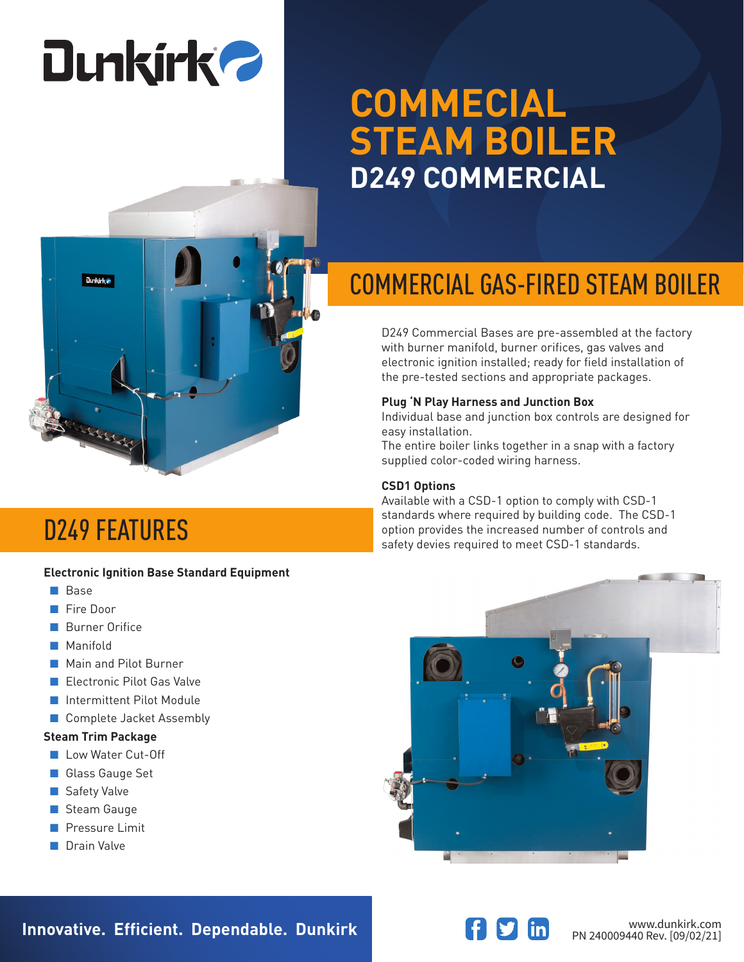# **Dunkirk 2**

## **COMMECIAL STEAM BOILER D249 COMMERCIAL**



## COMMERCIAL GAS-FIRED STEAM BOILER

D249 Commercial Bases are pre-assembled at the factory with burner manifold, burner orifices, gas valves and electronic ignition installed; ready for field installation of the pre-tested sections and appropriate packages.

## **Plug 'N Play Harness and Junction Box**

Individual base and junction box controls are designed for easy installation.

The entire boiler links together in a snap with a factory supplied color-coded wiring harness.

### **CSD1 Options**

Available with a CSD-1 option to comply with CSD-1 standards where required by building code. The CSD-1 option provides the increased number of controls and **D249 FEATURES**<br>Standards With Provides the increased number of controls<br>safety devies required to meet CSD-1 standards.

### **Electronic Ignition Base Standard Equipment**

- Base
- Fire Door
- Burner Orifice
- Manifold
- Main and Pilot Burner
- Electronic Pilot Gas Valve
- Intermittent Pilot Module
- Complete Jacket Assembly

### **Steam Trim Package**

- Low Water Cut-Off
- Glass Gauge Set
- Safety Valve
- Steam Gauge
- Pressure Limit
- Drain Valve





**Innovative. Efficient. Dependable. Dunkirk and Southern Communistry of the Manufaultic Communistry Communistry**